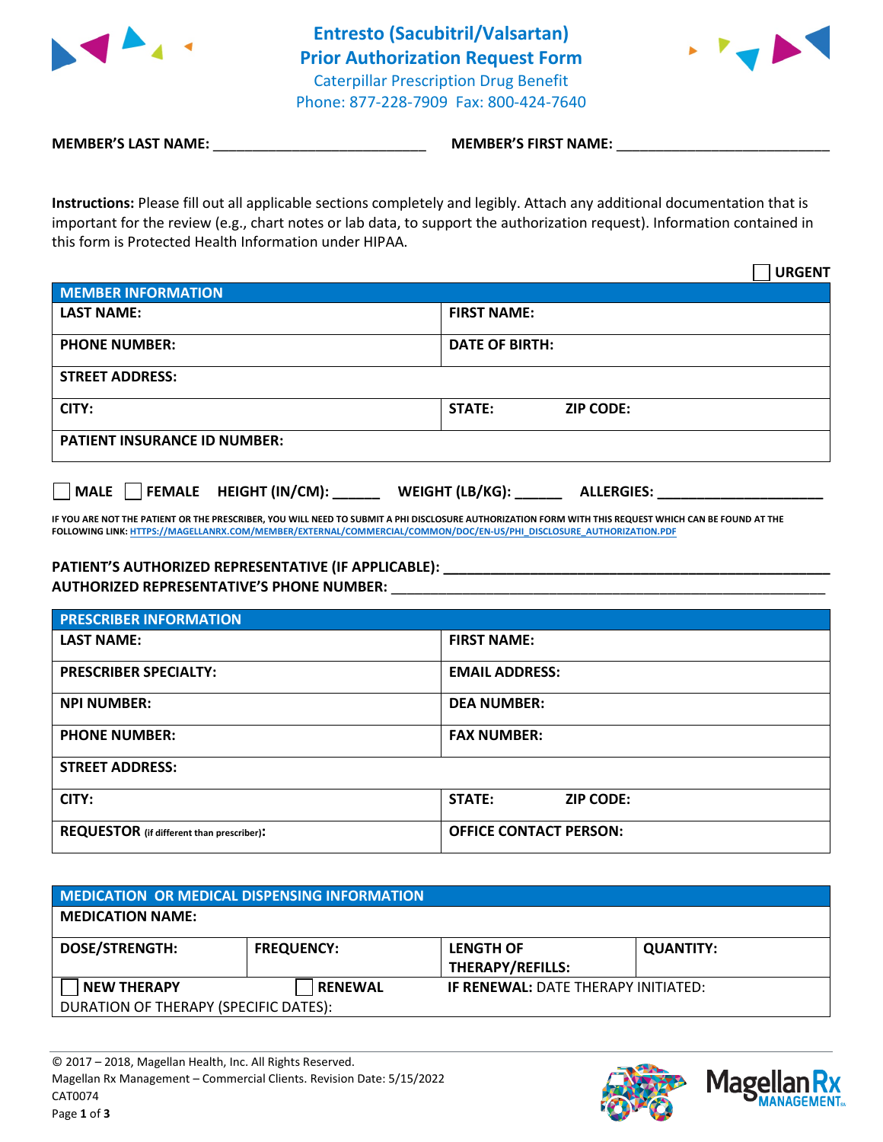



**MEMBER'S LAST NAME:**  $\blacksquare$  **MEMBER'S FIRST NAME:**  $\blacksquare$ 

**Instructions:** Please fill out all applicable sections completely and legibly. Attach any additional documentation that is important for the review (e.g., chart notes or lab data, to support the authorization request). Information contained in this form is Protected Health Information under HIPAA.

|                                     |                       |                  | <b>URGENT</b> |
|-------------------------------------|-----------------------|------------------|---------------|
| <b>MEMBER INFORMATION</b>           |                       |                  |               |
| <b>LAST NAME:</b>                   | <b>FIRST NAME:</b>    |                  |               |
| <b>PHONE NUMBER:</b>                | <b>DATE OF BIRTH:</b> |                  |               |
| <b>STREET ADDRESS:</b>              |                       |                  |               |
| CITY:                               | <b>STATE:</b>         | <b>ZIP CODE:</b> |               |
| <b>PATIENT INSURANCE ID NUMBER:</b> |                       |                  |               |
|                                     |                       |                  |               |

**MALE FEMALE HEIGHT (IN/CM): \_\_\_\_\_\_ WEIGHT (LB/KG): \_\_\_\_\_\_ ALLERGIES: \_\_\_\_\_\_\_\_\_\_\_\_\_\_\_\_\_\_\_\_\_**

**IF YOU ARE NOT THE PATIENT OR THE PRESCRIBER, YOU WILL NEED TO SUBMIT A PHI DISCLOSURE AUTHORIZATION FORM WITH THIS REQUEST WHICH CAN BE FOUND AT THE FOLLOWING LINK[: HTTPS://MAGELLANRX.COM/MEMBER/EXTERNAL/COMMERCIAL/COMMON/DOC/EN-US/PHI\\_DISCLOSURE\\_AUTHORIZATION.PDF](https://magellanrx.com/member/external/commercial/common/doc/en-us/PHI_Disclosure_Authorization.pdf)**

## **PATIENT'S AUTHORIZED REPRESENTATIVE (IF APPLICABLE): \_\_\_\_\_\_\_\_\_\_\_\_\_\_\_\_\_\_\_\_\_\_\_\_\_\_\_\_\_\_\_\_\_\_\_\_\_\_\_\_\_\_\_\_\_\_\_\_\_**

**AUTHORIZED REPRESENTATIVE'S PHONE NUMBER:** \_\_\_\_\_\_\_\_\_\_\_\_\_\_\_\_\_\_\_\_\_\_\_\_\_\_\_\_\_\_\_\_\_\_\_\_\_\_\_\_\_\_\_\_\_\_\_\_\_\_\_\_\_\_\_

| <b>PRESCRIBER INFORMATION</b>             |                               |  |
|-------------------------------------------|-------------------------------|--|
| <b>LAST NAME:</b>                         | <b>FIRST NAME:</b>            |  |
| <b>PRESCRIBER SPECIALTY:</b>              | <b>EMAIL ADDRESS:</b>         |  |
| <b>NPI NUMBER:</b>                        | <b>DEA NUMBER:</b>            |  |
| <b>PHONE NUMBER:</b>                      | <b>FAX NUMBER:</b>            |  |
| <b>STREET ADDRESS:</b>                    |                               |  |
| CITY:                                     | STATE:<br><b>ZIP CODE:</b>    |  |
| REQUESTOR (if different than prescriber): | <b>OFFICE CONTACT PERSON:</b> |  |

| MEDICATION OR MEDICAL DISPENSING INFORMATION |                   |                                      |                  |
|----------------------------------------------|-------------------|--------------------------------------|------------------|
| <b>MEDICATION NAME:</b>                      |                   |                                      |                  |
| <b>DOSE/STRENGTH:</b>                        | <b>FREQUENCY:</b> | <b>LENGTH OF</b><br>THERAPY/REFILLS: | <b>QUANTITY:</b> |
| <b>NEW THERAPY</b>                           | <b>RENEWAL</b>    | IF RENEWAL: DATE THERAPY INITIATED:  |                  |
| DURATION OF THERAPY (SPECIFIC DATES):        |                   |                                      |                  |



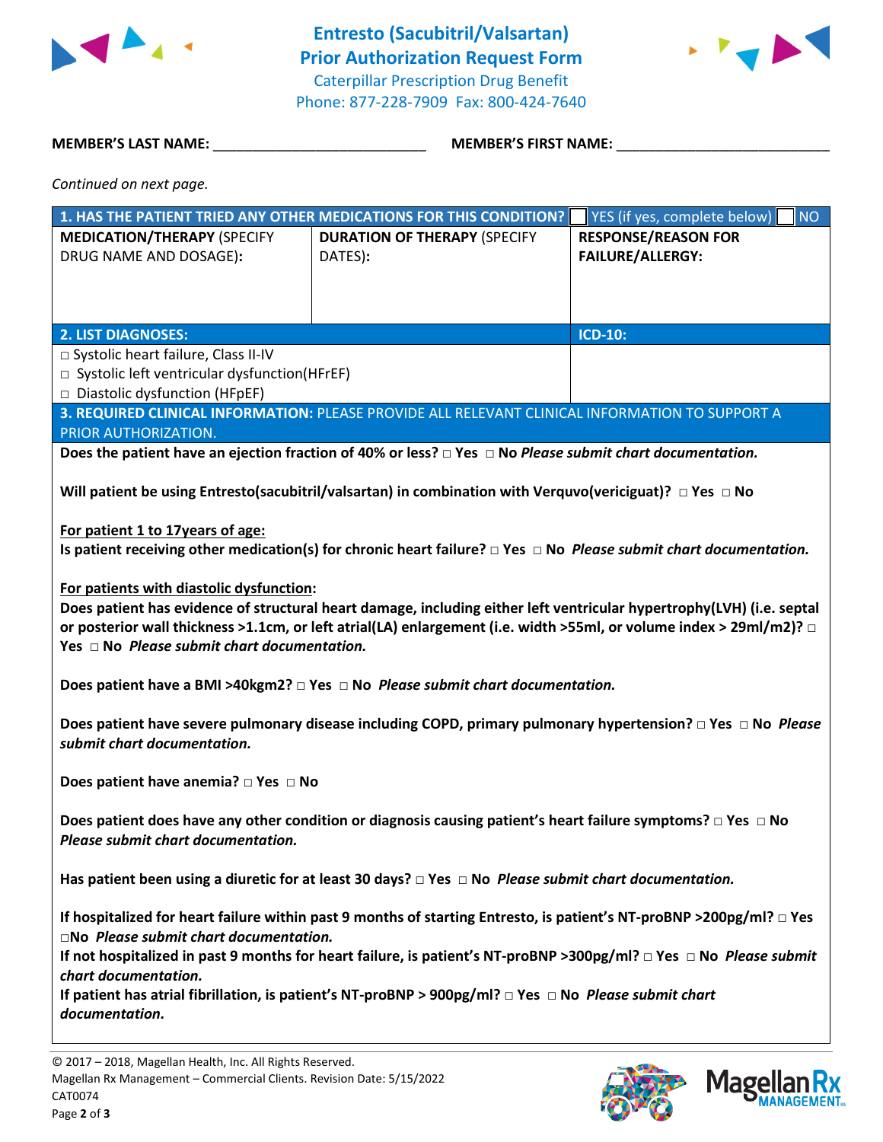

**Entresto (Sacubitril/Valsartan) Prior Authorization Request Form** Caterpillar Prescription Drug Benefit Phone: 877-228-7909 Fax: 800-424-7640



**MEMBER'S LAST NAME:** \_\_\_\_\_\_\_\_\_\_\_\_\_\_\_\_\_\_\_\_\_\_\_\_\_\_\_ **MEMBER'S FIRST NAME:** \_\_\_\_\_\_\_\_\_\_\_\_\_\_\_\_\_\_\_\_\_\_\_\_\_\_\_

*Continued on next page.*

| YES (if yes, complete below)<br><b>RESPONSE/REASON FOR</b><br><b>MEDICATION/THERAPY (SPECIFY</b><br><b>DURATION OF THERAPY (SPECIFY</b><br><b>FAILURE/ALLERGY:</b><br>DRUG NAME AND DOSAGE):<br>DATES):<br><b>2. LIST DIAGNOSES:</b><br><b>ICD-10:</b><br>□ Systolic heart failure, Class II-IV<br>$\Box$ Systolic left ventricular dysfunction(HFrEF) |  |  |  |  |  |
|--------------------------------------------------------------------------------------------------------------------------------------------------------------------------------------------------------------------------------------------------------------------------------------------------------------------------------------------------------|--|--|--|--|--|
|                                                                                                                                                                                                                                                                                                                                                        |  |  |  |  |  |
|                                                                                                                                                                                                                                                                                                                                                        |  |  |  |  |  |
|                                                                                                                                                                                                                                                                                                                                                        |  |  |  |  |  |
|                                                                                                                                                                                                                                                                                                                                                        |  |  |  |  |  |
|                                                                                                                                                                                                                                                                                                                                                        |  |  |  |  |  |
|                                                                                                                                                                                                                                                                                                                                                        |  |  |  |  |  |
|                                                                                                                                                                                                                                                                                                                                                        |  |  |  |  |  |
| □ Diastolic dysfunction (HFpEF)                                                                                                                                                                                                                                                                                                                        |  |  |  |  |  |
| 3. REQUIRED CLINICAL INFORMATION: PLEASE PROVIDE ALL RELEVANT CLINICAL INFORMATION TO SUPPORT A                                                                                                                                                                                                                                                        |  |  |  |  |  |
| PRIOR AUTHORIZATION.                                                                                                                                                                                                                                                                                                                                   |  |  |  |  |  |
| Does the patient have an ejection fraction of 40% or less? $\Box$ Yes $\Box$ No Please submit chart documentation.                                                                                                                                                                                                                                     |  |  |  |  |  |
|                                                                                                                                                                                                                                                                                                                                                        |  |  |  |  |  |
| Will patient be using Entresto(sacubitril/valsartan) in combination with Verquvo(vericiguat)? $\Box$ Yes $\Box$ No                                                                                                                                                                                                                                     |  |  |  |  |  |
| For patient 1 to 17years of age:                                                                                                                                                                                                                                                                                                                       |  |  |  |  |  |
| Is patient receiving other medication(s) for chronic heart failure? $\Box$ Yes $\Box$ No <i>Please submit chart documentation.</i>                                                                                                                                                                                                                     |  |  |  |  |  |
|                                                                                                                                                                                                                                                                                                                                                        |  |  |  |  |  |
| For patients with diastolic dysfunction:                                                                                                                                                                                                                                                                                                               |  |  |  |  |  |
| Does patient has evidence of structural heart damage, including either left ventricular hypertrophy(LVH) (i.e. septal                                                                                                                                                                                                                                  |  |  |  |  |  |
| or posterior wall thickness >1.1cm, or left atrial(LA) enlargement (i.e. width >55ml, or volume index > 29ml/m2)? $\Box$                                                                                                                                                                                                                               |  |  |  |  |  |
| Yes $\Box$ No Please submit chart documentation.                                                                                                                                                                                                                                                                                                       |  |  |  |  |  |
|                                                                                                                                                                                                                                                                                                                                                        |  |  |  |  |  |
| Does patient have a BMI >40kgm2? $\Box$ Yes $\Box$ No Please submit chart documentation.                                                                                                                                                                                                                                                               |  |  |  |  |  |
| Does patient have severe pulmonary disease including COPD, primary pulmonary hypertension? $\Box$ Yes $\Box$ No Please                                                                                                                                                                                                                                 |  |  |  |  |  |
| submit chart documentation.                                                                                                                                                                                                                                                                                                                            |  |  |  |  |  |
|                                                                                                                                                                                                                                                                                                                                                        |  |  |  |  |  |
| Does patient have anemia? $\Box$ Yes $\Box$ No                                                                                                                                                                                                                                                                                                         |  |  |  |  |  |
|                                                                                                                                                                                                                                                                                                                                                        |  |  |  |  |  |
| Does patient does have any other condition or diagnosis causing patient's heart failure symptoms? $\Box$ Yes $\Box$ No                                                                                                                                                                                                                                 |  |  |  |  |  |
| Please submit chart documentation.                                                                                                                                                                                                                                                                                                                     |  |  |  |  |  |
| Has patient been using a diuretic for at least 30 days? $\Box$ Yes $\Box$ No <i>Please submit chart documentation.</i>                                                                                                                                                                                                                                 |  |  |  |  |  |
|                                                                                                                                                                                                                                                                                                                                                        |  |  |  |  |  |
| If hospitalized for heart failure within past 9 months of starting Entresto, is patient's NT-proBNP >200pg/ml? $\Box$ Yes                                                                                                                                                                                                                              |  |  |  |  |  |
| $\square$ No Please submit chart documentation.                                                                                                                                                                                                                                                                                                        |  |  |  |  |  |
| If not hospitalized in past 9 months for heart failure, is patient's NT-proBNP >300pg/ml? $\Box$ Yes $\Box$ No Please submit                                                                                                                                                                                                                           |  |  |  |  |  |
| chart documentation.                                                                                                                                                                                                                                                                                                                                   |  |  |  |  |  |
| If patient has atrial fibrillation, is patient's NT-proBNP > 900pg/ml? $\Box$ Yes $\Box$ No <i>Please submit chart</i>                                                                                                                                                                                                                                 |  |  |  |  |  |
| documentation.                                                                                                                                                                                                                                                                                                                                         |  |  |  |  |  |